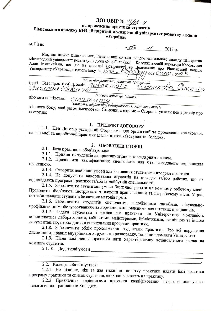# ДОГОВІР №  $\frac{OS}{A}$ 2- 9 Рівненського коледжу ВНЗ «Відкритий міжнародний університет розвитку людини «Україна»

M. PiBHe

 $\frac{\alpha}{2018}$   $\frac{7}{2018}$  p.

Ми, що нижче підписалися, Рівненський коледж вищого навчального закладу «Відкритий міжнародний університет розвитку людини «Україна» (далі - Коледж) в особі директора Красовської Алли Михайлівни, що діє на підставі Довіреності да Цоложення про Рівненський коледж Університету «Україна», з одного боку та <u>ФАДТ и Євродер се остала</u>те ч

(назва підприємства, установи, організації) (далі – База практики), в особі *дире є торо Сторо Поелоскова* Олеглеїв Auamou icobre 45

(посада, прізвище, ініціали) діючого на підставі СМА туту

(статуту, польжения, розпоряджения, доручения, тощо) з іншого боку, далі разом іменуються Сторони, а окремо - Сторона, уклали цей Договір про

# 1. ПРЕДМЕТ ДОГОВОРУ

1.1. Цей Договір укладений Сторонами для організації та проведення ознайомчої, навчальної та виробничої практики (далі - практика) студентів Коледжу.

### 2. ОБОВ'ЯЗКИ СТОРІН

2.1. База практики зобов'язується:

2.1.1. Прийняти студентів на практику згідно з календарним планом.

2.1.2. Призначити кваліфікованих спеціалістів для безпосереднього керівництва практикою.

2.1.3. Створити необхідні умови для виконання студентами програм практики.

2.1.4. Не допускати використання студентів на посадах та/або роботах, що не відповідають програмі практики та/або їх майбутній спеціальності.

2.1.5. Забезпечити студентам умови безпечної роботи на кожному робочому місці. Проводити обов'язкові інструктажі з охорони праці: ввідний та на робочому місці. У разі потреби навчати студентів безпечних методів праці.

2.1.6. Забезпечити студентів спецодягом, запобіжними засобами, лікувальнопрофілактичним обслуговуванням за нормами, встановленими для штатних працівників.

2.1.7. Надати студентам і керівникам практики від Університету можливість користуватись лабораторіями, кабінетами, майстернями, бібліотеками, технічною та іншою документацією, необхідною для виконання програми практики.

2.1.8. Забезпечити облік проходження студентами практики. Про всі порушення дисципліни, правил внутрішнього трудового розпорядку, тощо повідомляти Університет.

2.1.9. Після закінчення практики дати характеристику встановленого зразка на кожного студента.

2.1.10. Додаткові умови

2.2. Коледж зобов'язується:

2.2.1. Не пізніше, ніж за два тижні до початку практики надати Базі практики програму практики та список студентів, яких направляють на практику.

2.2.2. Призначити керівниками практики кваліфікованих педагогічних/науковопедагогічних працівників Коледжу.